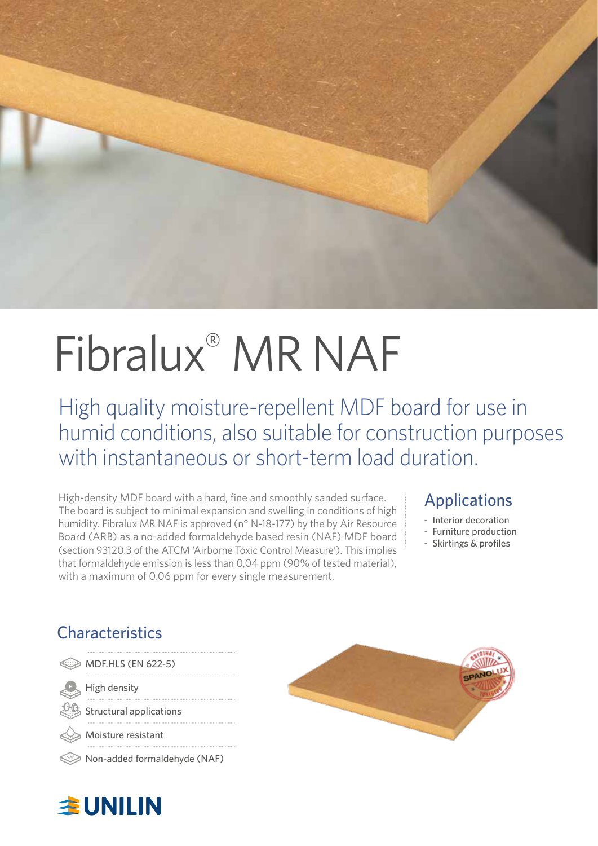

# Fibralux® MR NAF

High quality moisture-repellent MDF board for use in humid conditions, also suitable for construction purposes with instantaneous or short-term load duration.

High-density MDF board with a hard, fine and smoothly sanded surface. The board is subject to minimal expansion and swelling in conditions of high humidity. Fibralux MR NAF is approved (n° N-18-177) by the by Air Resource Board (ARB) as a no-added formaldehyde based resin (NAF) MDF board (section 93120.3 of the ATCM 'Airborne Toxic Control Measure'). This implies that formaldehyde emission is less than 0,04 ppm (90% of tested material), with a maximum of 0.06 ppm for every single measurement.

#### Applications

- Interior decoration
- Furniture production
- Skirtings & profiles

### **Characteristics**

|  | MDF.HLS (EN 622-5) |  |  |
|--|--------------------|--|--|
|--|--------------------|--|--|

High density

Structural applications

Moisture resistant

Non-added formaldehyde (NAF)